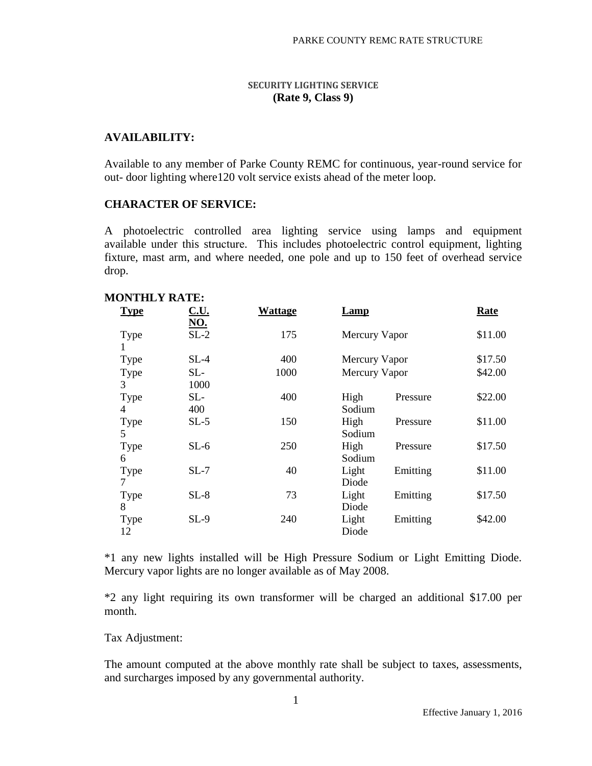### **SECURITY LIGHTING SERVICE (Rate 9, Class 9)**

## **AVAILABILITY:**

Available to any member of Parke County REMC for continuous, year-round service for out- door lighting where120 volt service exists ahead of the meter loop.

### **CHARACTER OF SERVICE:**

A photoelectric controlled area lighting service using lamps and equipment available under this structure. This includes photoelectric control equipment, lighting fixture, mast arm, and where needed, one pole and up to 150 feet of overhead service drop.

| <b>MONTHLY RATE:</b> |             |         |               |          |         |
|----------------------|-------------|---------|---------------|----------|---------|
| <b>Type</b>          | <u>C.U.</u> | Wattage | <b>Lamp</b>   |          | Rate    |
|                      | <u>NO.</u>  |         |               |          |         |
| Type                 | $SL-2$      | 175     | Mercury Vapor |          | \$11.00 |
|                      |             |         |               |          |         |
| Type                 | $SL-4$      | 400     | Mercury Vapor |          | \$17.50 |
| Type                 | $SL-$       | 1000    | Mercury Vapor |          | \$42.00 |
| 3                    | 1000        |         |               |          |         |
| Type                 | $SL-$       | 400     | High          | Pressure | \$22.00 |
| 4                    | 400         |         | Sodium        |          |         |
| Type                 | $SL-5$      | 150     | High          | Pressure | \$11.00 |
| 5                    |             |         | Sodium        |          |         |
| Type                 | $SL-6$      | 250     | High          | Pressure | \$17.50 |
| 6                    |             |         | Sodium        |          |         |
| Type                 | $SL-7$      | 40      | Light         | Emitting | \$11.00 |
| 7                    |             |         | Diode         |          |         |
| Type                 | $SL-8$      | 73      | Light         | Emitting | \$17.50 |
| 8                    |             |         | Diode         |          |         |
| Type                 | $SL-9$      | 240     | Light         | Emitting | \$42.00 |
| 12                   |             |         | Diode         |          |         |
|                      |             |         |               |          |         |

\*1 any new lights installed will be High Pressure Sodium or Light Emitting Diode. Mercury vapor lights are no longer available as of May 2008.

\*2 any light requiring its own transformer will be charged an additional \$17.00 per month.

#### Tax Adjustment:

The amount computed at the above monthly rate shall be subject to taxes, assessments, and surcharges imposed by any governmental authority.